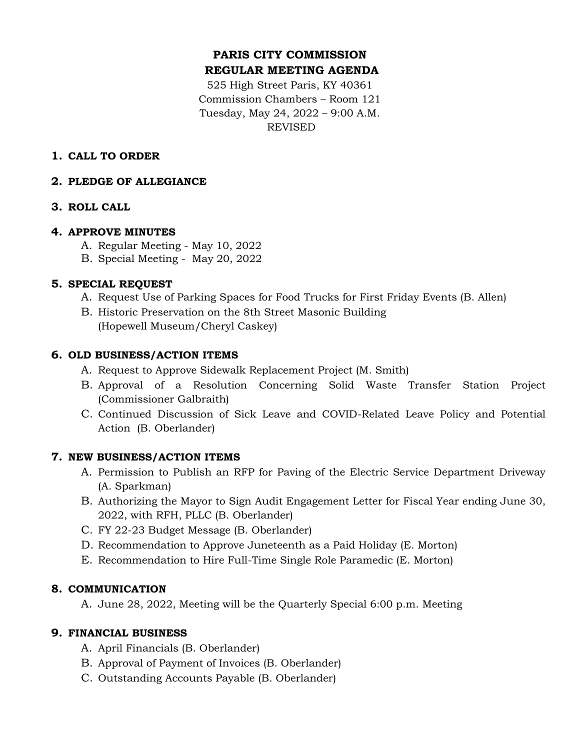# **PARIS CITY COMMISSION REGULAR MEETING AGENDA**

525 High Street Paris, KY 40361 Commission Chambers – Room 121 Tuesday, May 24, 2022 – 9:00 A.M. REVISED

## **1. CALL TO ORDER**

### **2. PLEDGE OF ALLEGIANCE**

### **3. ROLL CALL**

#### **4. APPROVE MINUTES**

- A. Regular Meeting May 10, 2022
- B. Special Meeting May 20, 2022

### **5. SPECIAL REQUEST**

- A. Request Use of Parking Spaces for Food Trucks for First Friday Events (B. Allen)
- B. Historic Preservation on the 8th Street Masonic Building (Hopewell Museum/Cheryl Caskey)

### **6. OLD BUSINESS/ACTION ITEMS**

- A. Request to Approve Sidewalk Replacement Project (M. Smith)
- B. Approval of a Resolution Concerning Solid Waste Transfer Station Project (Commissioner Galbraith)
- C. Continued Discussion of Sick Leave and COVID-Related Leave Policy and Potential Action (B. Oberlander)

## **7. NEW BUSINESS/ACTION ITEMS**

- A. Permission to Publish an RFP for Paving of the Electric Service Department Driveway (A. Sparkman)
- B. Authorizing the Mayor to Sign Audit Engagement Letter for Fiscal Year ending June 30, 2022, with RFH, PLLC (B. Oberlander)
- C. FY 22-23 Budget Message (B. Oberlander)
- D. Recommendation to Approve Juneteenth as a Paid Holiday (E. Morton)
- E. Recommendation to Hire Full-Time Single Role Paramedic (E. Morton)

## **8. COMMUNICATION**

A. June 28, 2022, Meeting will be the Quarterly Special 6:00 p.m. Meeting

#### **9. FINANCIAL BUSINESS**

- A. April Financials (B. Oberlander)
- B. Approval of Payment of Invoices (B. Oberlander)
- C. Outstanding Accounts Payable (B. Oberlander)